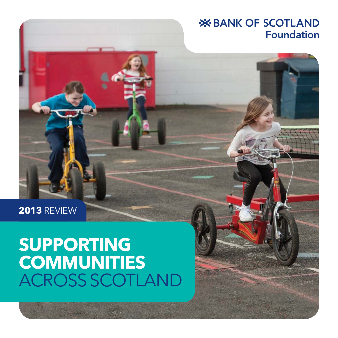### **X BANK OF SCOTLAND Foundation**

**2013** REVIEW

## **SUPPORTING COMMUNITIES** ACROSS SCOTLAND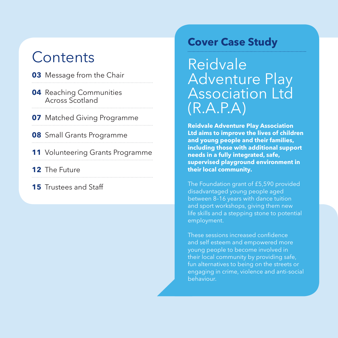### **Contents**

#### **03** Message from the Chair

- **04** Reaching Communities Across Scotland
- **07** Matched Giving Programme
- **08** Small Grants Programme
- **11** Volunteering Grants Programme
- **12** The Future
- **15** Trustees and Staff

### **Cover Case Study**

Reidvale Adventure Play Association Ltd  $(R.A.P.A)$ 

**Reidvale Adventure Play Association Ltd aims to improve the lives of children and young people and their families, including those with additional support needs in a fully integrated, safe, supervised playground environment in their local community.**

The Foundation grant of £5,590 provided disadvantaged young people aged between 8–16 years with dance tuition and sport workshops, giving them new life skills and a stepping stone to potential employment.

These sessions increased confidence and self esteem and empowered more young people to become involved in their local community by providing safe, fun alternatives to being on the streets or engaging in crime, violence and anti-social behaviour.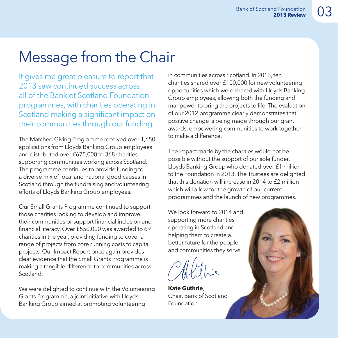### Message from the Chair

It gives me great pleasure to report that 2013 saw continued success across all of the Bank of Scotland Foundation programmes, with charities operating in Scotland making a significant impact on their communities through our funding.

The Matched Giving Programme received over 1,650 applications from Lloyds Banking Group employees and distributed over £675,000 to 368 charities supporting communities working across Scotland. The programme continues to provide funding to a diverse mix of local and national good causes in Scotland through the fundraising and volunteering efforts of Lloyds Banking Group employees.

Our Small Grants Programme continued to support those charities looking to develop and improve their communities or support financial inclusion and financial literacy. Over £550,000 was awarded to 69 charities in the year, providing funding to cover a range of projects from core running costs to capital projects. Our Impact Report once again provides clear evidence that the Small Grants Programme is making a tangible difference to communities across Scotland.

We were delighted to continue with the Volunteering Grants Programme, a joint initiative with Lloyds Banking Group aimed at promoting volunteering

in communities across Scotland. In 2013, ten charities shared over £100,000 for new volunteering opportunities which were shared with Lloyds Banking Group employees, allowing both the funding and manpower to bring the projects to life. The evaluation of our 2012 programme clearly demonstrates that positive change is being made through our grant awards, empowering communities to work together to make a difference.

The impact made by the charities would not be possible without the support of our sole funder, Lloyds Banking Group who donated over £1 million to the Foundation in 2013. The Trustees are delighted that this donation will increase in 2014 to £2 million which will allow for the growth of our current programmes and the launch of new programmes.

We look forward to 2014 and supporting more charities operating in Scotland and helping them to create a better future for the people and communities they serve.

**Kate Guthrie**, Chair, Bank of Scotland Foundation

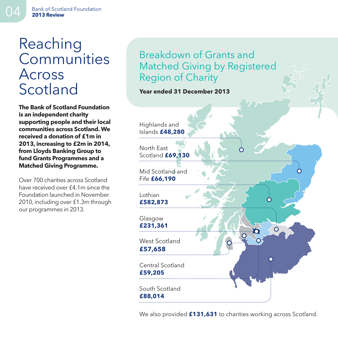### Reaching **Communities** Across Scotland

**The Bank of Scotland Foundation is an independent charity supporting people and their local communities across Scotland. We received a donation of £1m in 2013, increasing to £2m in 2014, from Lloyds Banking Group to fund Grants Programmes and a Matched Giving Programme.**

Over 700 charities across Scotland have received over £4.1m since the Foundation launched in November 2010, including over £1.3m through our programmes in 2013.

### Breakdown of Grants and Matched Giving by Registered Region of Charity

#### **Year ended 31 December 2013**

Highlands and Islands **£48,280** 

North East Scotland **£69,130** 

Mid Scotland and Fife **£66,190** 

**Lothian £582,873** 

Glasgow **£231,361**

West Scotland **£57,658** 

Central Scotland **£59,205** 

South Scotland **£88,014** 

We also provided **£131,631** to charities working across Scotland.

ro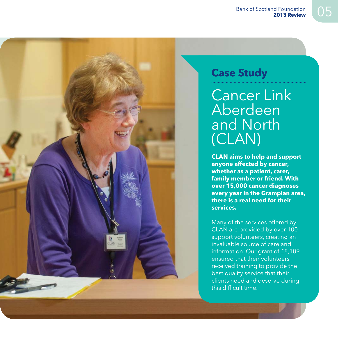Cancer Link Aberdeen and North (CLAN)

**CLAN aims to help and support anyone affected by cancer, whether as a patient, carer, family member or friend. With over 15,000 cancer diagnoses every year in the Grampian area, there is a real need for their services.**

Many of the services offered by CLAN are provided by over 100 support volunteers, creating an invaluable source of care and information. Our grant of £8,189 ensured that their volunteers received training to provide the best quality service that their clients need and deserve during this difficult time.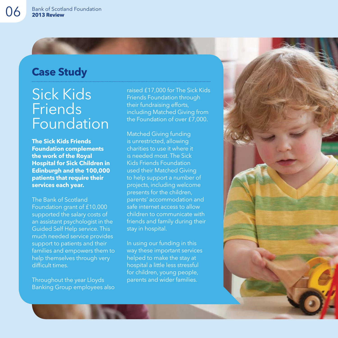### Sick Kids **Friends** Foundation

**The Sick Kids Friends Foundation complements the work of the Royal Hospital for Sick Children in Edinburgh and the 100,000 patients that require their services each year.**

The Bank of Scotland Foundation grant of £10,000 supported the salary costs of an assistant psychologist in the Guided Self Help service. This much needed service provides support to patients and their families and empowers them to help themselves through very difficult times.

Throughout the year Lloyds Banking Group employees also

raised £17,000 for The Sick Kids Friends Foundation through their fundraising efforts, including Matched Giving from the Foundation of over £7,000.

Matched Giving funding is unrestricted, allowing charities to use it where it is needed most. The Sick Kids Friends Foundation used their Matched Giving to help support a number of projects, including welcome presents for the children, parents' accommodation and safe internet access to allow children to communicate with friends and family during their stay in hospital.

In using our funding in this way these important services helped to make the stay at hospital a little less stressful for children, young people, parents and wider families.

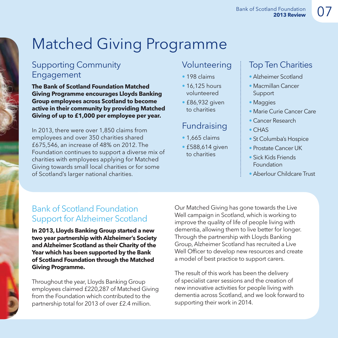## Matched Giving Programme

#### Supporting Community **Engagement**

**The Bank of Scotland Foundation Matched Giving Programme encourages Lloyds Banking Group employees across Scotland to become active in their community by providing Matched Giving of up to £1,000 per employee per year.**

In 2013, there were over 1,850 claims from employees and over 350 charities shared £675,546, an increase of 48% on 2012. The Foundation continues to support a diverse mix of charities with employees applying for Matched Giving towards small local charities or for some of Scotland's larger national charities.

#### Volunteering

- 198 claims
- 16,125 hours volunteered
- £86,932 given to charities

#### Fundraising

- 1,665 claims
- £588,614 given to charities

### Top Ten Charities

- Alzheimer Scotland
- Macmillan Cancer Support
- Maggies
- Marie Curie Cancer Care
- Cancer Research
- CHAS
- St Columba's Hospice
- Prostate Cancer UK
- Sick Kids Friends Foundation
- Aberlour Childcare Trust

### Bank of Scotland Foundation Support for Alzheimer Scotland

**In 2013, Lloyds Banking Group started a new two year partnership with Alzheimer's Society and Alzheimer Scotland as their Charity of the Year which has been supported by the Bank of Scotland Foundation through the Matched Giving Programme.**

Throughout the year, Lloyds Banking Group employees claimed £220,287 of Matched Giving from the Foundation which contributed to the partnership total for 2013 of over £2.4 million.

Our Matched Giving has gone towards the Live Well campaign in Scotland, which is working to improve the quality of life of people living with dementia, allowing them to live better for longer. Through the partnership with Lloyds Banking Group, Alzheimer Scotland has recruited a Live Well Officer to develop new resources and create a model of best practice to support carers.

The result of this work has been the delivery of specialist carer sessions and the creation of new innovative activities for people living with dementia across Scotland, and we look forward to supporting their work in 2014.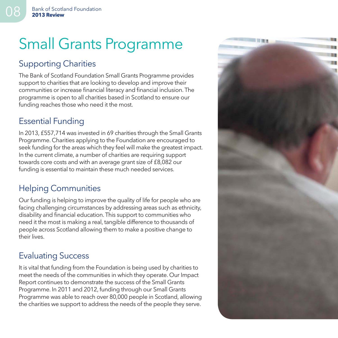## Small Grants Programme

### Supporting Charities

The Bank of Scotland Foundation Small Grants Programme provides support to charities that are looking to develop and improve their communities or increase financial literacy and financial inclusion. The programme is open to all charities based in Scotland to ensure our funding reaches those who need it the most.

### Essential Funding

In 2013, £557,714 was invested in 69 charities through the Small Grants Programme. Charities applying to the Foundation are encouraged to seek funding for the areas which they feel will make the greatest impact. In the current climate, a number of charities are requiring support towards core costs and with an average grant size of £8,082 our funding is essential to maintain these much needed services.

### Helping Communities

Our funding is helping to improve the quality of life for people who are facing challenging circumstances by addressing areas such as ethnicity, disability and financial education. This support to communities who need it the most is making a real, tangible difference to thousands of people across Scotland allowing them to make a positive change to their lives.

### Evaluating Success

It is vital that funding from the Foundation is being used by charities to meet the needs of the communities in which they operate. Our Impact Report continues to demonstrate the success of the Small Grants Programme. In 2011 and 2012, funding through our Small Grants Programme was able to reach over 80,000 people in Scotland, allowing the charities we support to address the needs of the people they serve.

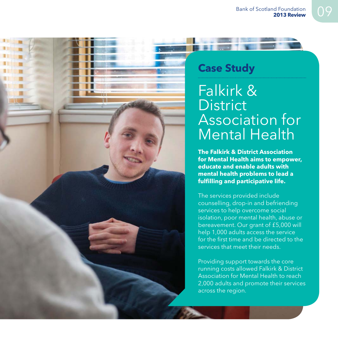

### Falkirk & **District** Association for Mental Health

**The Falkirk & District Association for Mental Health aims to empower, educate and enable adults with mental health problems to lead a fulfi lling and participative life.**

The services provided include counselling, drop-in and befriending services to help overcome social isolation, poor mental health, abuse or bereavement. Our grant of £5,000 will help 1,000 adults access the service for the first time and be directed to the services that meet their needs.

Providing support towards the core running costs allowed Falkirk & District Association for Mental Health to reach 2,000 adults and promote their services across the region.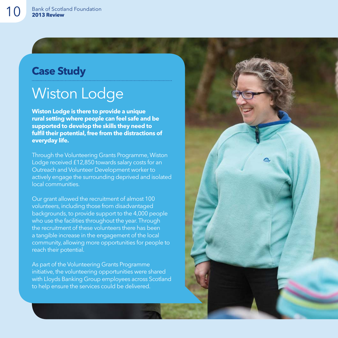### Wiston Lodge

**Wiston Lodge is there to provide a unique rural setting where people can feel safe and be supported to develop the skills they need to**  fulfil their potential, free from the distractions of **everyday life.**

Through the Volunteering Grants Programme, Wiston Lodge received £12,850 towards salary costs for an Outreach and Volunteer Development worker to actively engage the surrounding deprived and isolated local communities.

Our grant allowed the recruitment of almost 100 volunteers, including those from disadvantaged backgrounds, to provide support to the 4,000 people who use the facilities throughout the year. Through the recruitment of these volunteers there has been a tangible increase in the engagement of the local community, allowing more opportunities for people to reach their potential.

As part of the Volunteering Grants Programme initiative, the volunteering opportunities were shared with Lloyds Banking Group employees across Scotland to help ensure the services could be delivered.

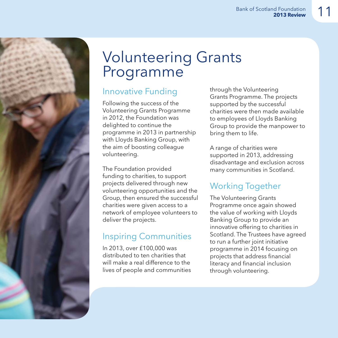

### Volunteering Grants Programme

### Innovative Funding

Following the success of the Volunteering Grants Programme in 2012, the Foundation was delighted to continue the programme in 2013 in partnership with Lloyds Banking Group, with the aim of boosting colleague volunteering.

The Foundation provided funding to charities, to support projects delivered through new volunteering opportunities and the Group, then ensured the successful charities were given access to a network of employee volunteers to deliver the projects.

### Inspiring Communities

In 2013, over £100,000 was distributed to ten charities that will make a real difference to the lives of people and communities through the Volunteering Grants Programme. The projects supported by the successful charities were then made available to employees of Lloyds Banking Group to provide the manpower to bring them to life.

A range of charities were supported in 2013, addressing disadvantage and exclusion across many communities in Scotland.

### Working Together

The Volunteering Grants Programme once again showed the value of working with Lloyds Banking Group to provide an innovative offering to charities in Scotland. The Trustees have agreed to run a further joint initiative programme in 2014 focusing on projects that address financial literacy and financial inclusion through volunteering.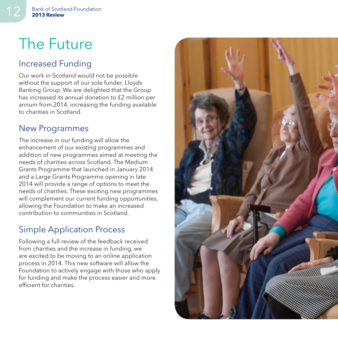### The Future

### Increased Funding

Our work in Scotland would not be possible without the support of our sole funder, Lloyds Banking Group. We are delighted that the Group has increased its annual donation to £2 million per annum from 2014, increasing the funding available to charities in Scotland.

#### New Programmes

The increase in our funding will allow the enhancement of our existing programmes and addition of new programmes aimed at meeting the needs of charities across Scotland. The Medium Grants Programme that launched in January 2014 and a Large Grants Programme opening in late 2014 will provide a range of options to meet the needs of charities. These exciting new programmes will complement our current funding opportunities, allowing the Foundation to make an increased contribution to communities in Scotland.

### Simple Application Process

Following a full review of the feedback received from charities and the increase in funding, we are excited to be moving to an online application process in 2014. This new software will allow the Foundation to actively engage with those who apply for funding and make the process easier and more effi cient for charities.

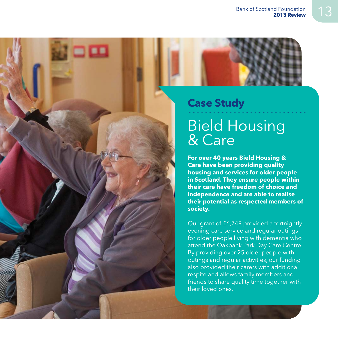

### Bield Housing & Care

**For over 40 years Bield Housing & Care have been providing quality housing and services for older people in Scotland. They ensure people within their care have freedom of choice and independence and are able to realise their potential as respected members of society.**

Our grant of £6,749 provided a fortnightly evening care service and regular outings for older people living with dementia who attend the Oakbank Park Day Care Centre. By providing over 25 older people with outings and regular activities, our funding also provided their carers with additional respite and allows family members and friends to share quality time together with their loved ones.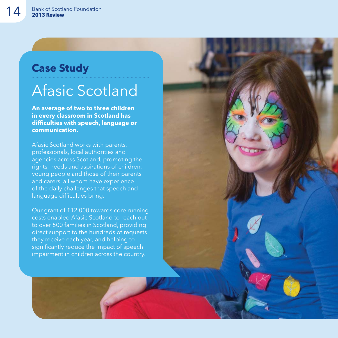### Afasic Scotland

**An average of two to three children in every classroom in Scotland has diffi culties with speech, language or communication.**

Afasic Scotland works with parents, professionals, local authorities and agencies across Scotland, promoting the rights, needs and aspirations of children, young people and those of their parents and carers, all whom have experience of the daily challenges that speech and language difficulties bring.

Our grant of £12,000 towards core running costs enabled Afasic Scotland to reach out to over 500 families in Scotland, providing direct support to the hundreds of requests they receive each year, and helping to significantly reduce the impact of speech impairment in children across the country.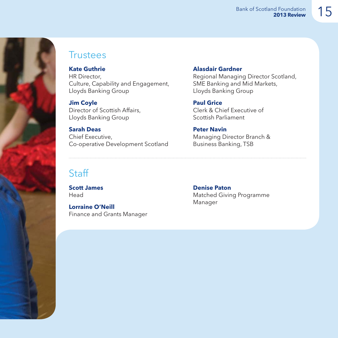

### **Trustees**

**Kate Guthrie** HR Director, Culture, Capability and Engagement, Lloyds Banking Group

#### **Jim Coyle**

Director of Scottish Affairs. Lloyds Banking Group

#### **Sarah Deas**

Chief Executive, Co-operative Development Scotland

#### **Alasdair Gardner**

Regional Managing Director Scotland, SME Banking and Mid Markets, Lloyds Banking Group

**Paul Grice** Clerk & Chief Executive of Scottish Parliament

#### **Peter Navin**

Managing Director Branch & Business Banking, TSB

### **Staff**

**Scott James** Head

**Lorraine O'Neill** Finance and Grants Manager

**Denise Paton** Matched Giving Programme Manager